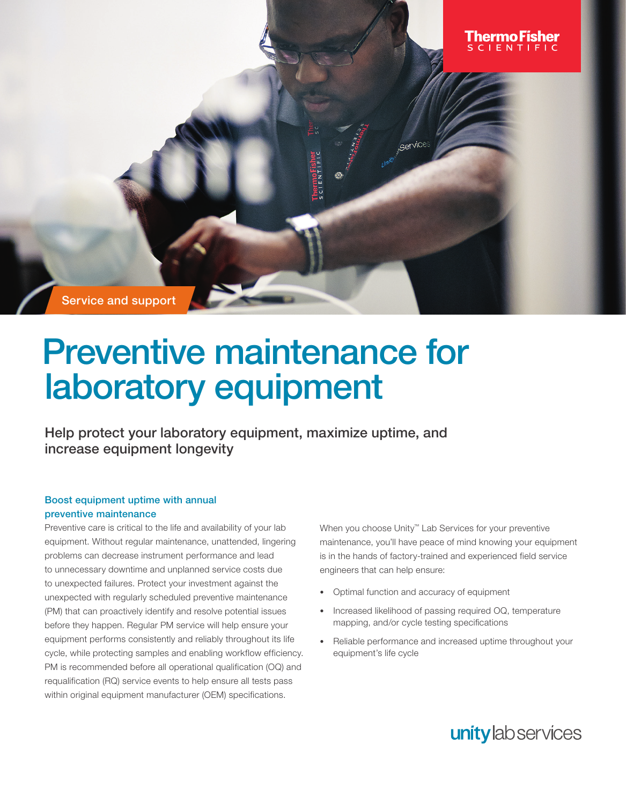Service and support

# Preventive maintenance for laboratory equipment

Help protect your laboratory equipment, maximize uptime, and increase equipment longevity

## Boost equipment uptime with annual preventive maintenance

Preventive care is critical to the life and availability of your lab equipment. Without regular maintenance, unattended, lingering problems can decrease instrument performance and lead to unnecessary downtime and unplanned service costs due to unexpected failures. Protect your investment against the unexpected with regularly scheduled preventive maintenance (PM) that can proactively identify and resolve potential issues before they happen. Regular PM service will help ensure your equipment performs consistently and reliably throughout its life cycle, while protecting samples and enabling workflow efficiency. PM is recommended before all operational qualification (OQ) and requalification (RQ) service events to help ensure all tests pass within original equipment manufacturer (OEM) specifications.

When you choose Unity™ Lab Services for your preventive maintenance, you'll have peace of mind knowing your equipment is in the hands of factory-trained and experienced field service engineers that can help ensure:

• Optimal function and accuracy of equipment

Service

- Increased likelihood of passing required OQ, temperature mapping, and/or cycle testing specifications
- Reliable performance and increased uptime throughout your equipment's life cycle



<u>I hermolfisher</u>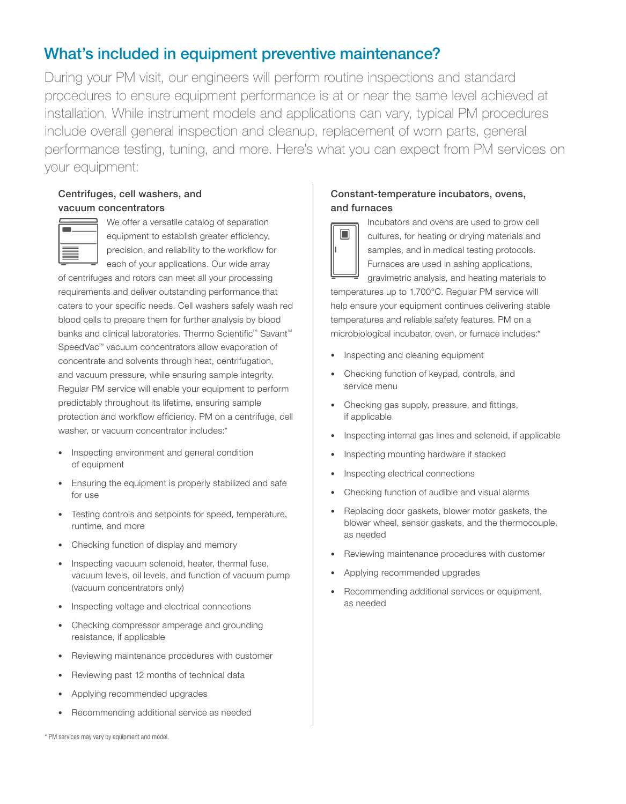# What's included in equipment preventive maintenance?

During your PM visit, our engineers will perform routine inspections and standard procedures to ensure equipment performance is at or near the same level achieved at installation. While instrument models and applications can vary, typical PM procedures include overall general inspection and cleanup, replacement of worn parts, general performance testing, tuning, and more. Here's what you can expect from PM services on your equipment:

# Centrifuges, cell washers, and vacuum concentrators



We offer a versatile catalog of separation equipment to establish greater efficiency, precision, and reliability to the workflow for each of your applications. Our wide array

of centrifuges and rotors can meet all your processing requirements and deliver outstanding performance that caters to your specific needs. Cell washers safely wash red blood cells to prepare them for further analysis by blood banks and clinical laboratories. Thermo Scientific<sup>™</sup> Savant<sup>™</sup> SpeedVac™ vacuum concentrators allow evaporation of concentrate and solvents through heat, centrifugation, and vacuum pressure, while ensuring sample integrity. Regular PM service will enable your equipment to perform predictably throughout its lifetime, ensuring sample protection and workflow efficiency. PM on a centrifuge, cell washer, or vacuum concentrator includes:\*

- Inspecting environment and general condition of equipment
- Ensuring the equipment is properly stabilized and safe for use
- Testing controls and setpoints for speed, temperature, runtime, and more
- Checking function of display and memory
- Inspecting vacuum solenoid, heater, thermal fuse, vacuum levels, oil levels, and function of vacuum pump (vacuum concentrators only)
- Inspecting voltage and electrical connections
- Checking compressor amperage and grounding resistance, if applicable
- Reviewing maintenance procedures with customer
- Reviewing past 12 months of technical data
- Applying recommended upgrades
- Recommending additional service as needed

# Constant-temperature incubators, ovens, and furnaces



Incubators and ovens are used to grow cell cultures, for heating or drying materials and samples, and in medical testing protocols. Furnaces are used in ashing applications,

gravimetric analysis, and heating materials to temperatures up to 1,700°C. Regular PM service will help ensure your equipment continues delivering stable temperatures and reliable safety features. PM on a microbiological incubator, oven, or furnace includes:\*

- Inspecting and cleaning equipment
- Checking function of keypad, controls, and service menu
- Checking gas supply, pressure, and fittings, if applicable
- Inspecting internal gas lines and solenoid, if applicable
- Inspecting mounting hardware if stacked
- Inspecting electrical connections
- Checking function of audible and visual alarms
- Replacing door gaskets, blower motor gaskets, the blower wheel, sensor gaskets, and the thermocouple, as needed
- Reviewing maintenance procedures with customer
- Applying recommended upgrades
- Recommending additional services or equipment, as needed

\* PM services may vary by equipment and model.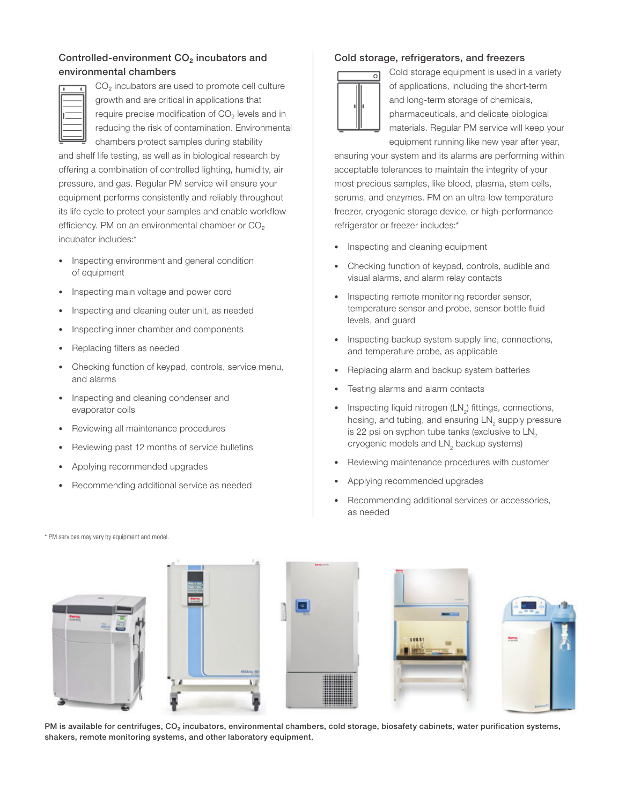## Controlled-environment CO₂ incubators and environmental chambers



CO<sub>2</sub> incubators are used to promote cell culture growth and are critical in applications that require precise modification of CO₂ levels and in reducing the risk of contamination. Environmental chambers protect samples during stability

and shelf life testing, as well as in biological research by offering a combination of controlled lighting, humidity, air pressure, and gas. Regular PM service will ensure your equipment performs consistently and reliably throughout its life cycle to protect your samples and enable workflow efficiency. PM on an environmental chamber or CO<sub>2</sub> incubator includes:\*

- Inspecting environment and general condition of equipment
- Inspecting main voltage and power cord
- Inspecting and cleaning outer unit, as needed
- Inspecting inner chamber and components
- Replacing filters as needed
- Checking function of keypad, controls, service menu, and alarms
- Inspecting and cleaning condenser and evaporator coils
- Reviewing all maintenance procedures
- Reviewing past 12 months of service bulletins
- Applying recommended upgrades
- Recommending additional service as needed

### Cold storage, refrigerators, and freezers



Cold storage equipment is used in a variety of applications, including the short-term and long-term storage of chemicals, pharmaceuticals, and delicate biological materials. Regular PM service will keep your equipment running like new year after year,

ensuring your system and its alarms are performing within acceptable tolerances to maintain the integrity of your most precious samples, like blood, plasma, stem cells, serums, and enzymes. PM on an ultra-low temperature freezer, cryogenic storage device, or high-performance refrigerator or freezer includes:\*

- Inspecting and cleaning equipment
- Checking function of keypad, controls, audible and visual alarms, and alarm relay contacts
- Inspecting remote monitoring recorder sensor, temperature sensor and probe, sensor bottle fluid levels, and guard
- Inspecting backup system supply line, connections, and temperature probe, as applicable
- Replacing alarm and backup system batteries
- Testing alarms and alarm contacts
- Inspecting liquid nitrogen  $(LN_2)$  fittings, connections, hosing, and tubing, and ensuring  $LN_{2}$  supply pressure is 22 psi on syphon tube tanks (exclusive to  $LN<sub>2</sub>$ cryogenic models and  $\mathsf{LN}_2$  backup systems)
- Reviewing maintenance procedures with customer
- Applying recommended upgrades
- Recommending additional services or accessories, as needed

\* PM services may vary by equipment and model.



PM is available for centrifuges, CO<sub>2</sub> incubators, environmental chambers, cold storage, biosafety cabinets, water purification systems, shakers, remote monitoring systems, and other laboratory equipment.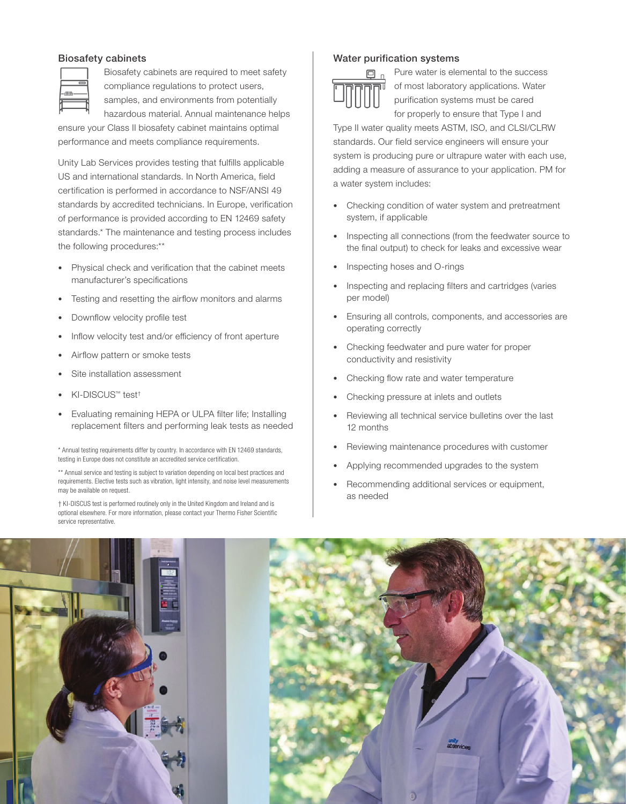#### Biosafety cabinets



Biosafety cabinets are required to meet safety compliance regulations to protect users, samples, and environments from potentially

hazardous material. Annual maintenance helps ensure your Class II biosafety cabinet maintains optimal performance and meets compliance requirements.

Unity Lab Services provides testing that fulfills applicable US and international standards. In North America, field certification is performed in accordance to NSF/ANSI 49 standards by accredited technicians. In Europe, verification of performance is provided according to EN 12469 safety standards.\* The maintenance and testing process includes the following procedures:\*\*

- Physical check and verification that the cabinet meets manufacturer's specifications
- Testing and resetting the airflow monitors and alarms
- Downflow velocity profile test
- Inflow velocity test and/or efficiency of front aperture
- Airflow pattern or smoke tests
- Site installation assessment
- KI-DISCUS™ test†
- Evaluating remaining HEPA or ULPA filter life; Installing replacement filters and performing leak tests as needed

\* Annual testing requirements differ by country. In accordance with EN 12469 standards, testing in Europe does not constitute an accredited service certification.

\*\* Annual service and testing is subject to variation depending on local best practices and requirements. Elective tests such as vibration, light intensity, and noise level measurements may be available on request.

† KI-DISCUS test is performed routinely only in the United Kingdom and Ireland and is optional elsewhere. For more information, please contact your Thermo Fisher Scientific service representative.

#### Water purification systems



Pure water is elemental to the success of most laboratory applications. Water purification systems must be cared for properly to ensure that Type I and

Type II water quality meets ASTM, ISO, and CLSI/CLRW standards. Our field service engineers will ensure your system is producing pure or ultrapure water with each use, adding a measure of assurance to your application. PM for a water system includes:

- Checking condition of water system and pretreatment system, if applicable
- Inspecting all connections (from the feedwater source to the final output) to check for leaks and excessive wear
- Inspecting hoses and O-rings
- Inspecting and replacing filters and cartridges (varies per model)
- Ensuring all controls, components, and accessories are operating correctly
- Checking feedwater and pure water for proper conductivity and resistivity
- Checking flow rate and water temperature
- Checking pressure at inlets and outlets
- Reviewing all technical service bulletins over the last 12 months
- Reviewing maintenance procedures with customer
- Applying recommended upgrades to the system
- Recommending additional services or equipment, as needed